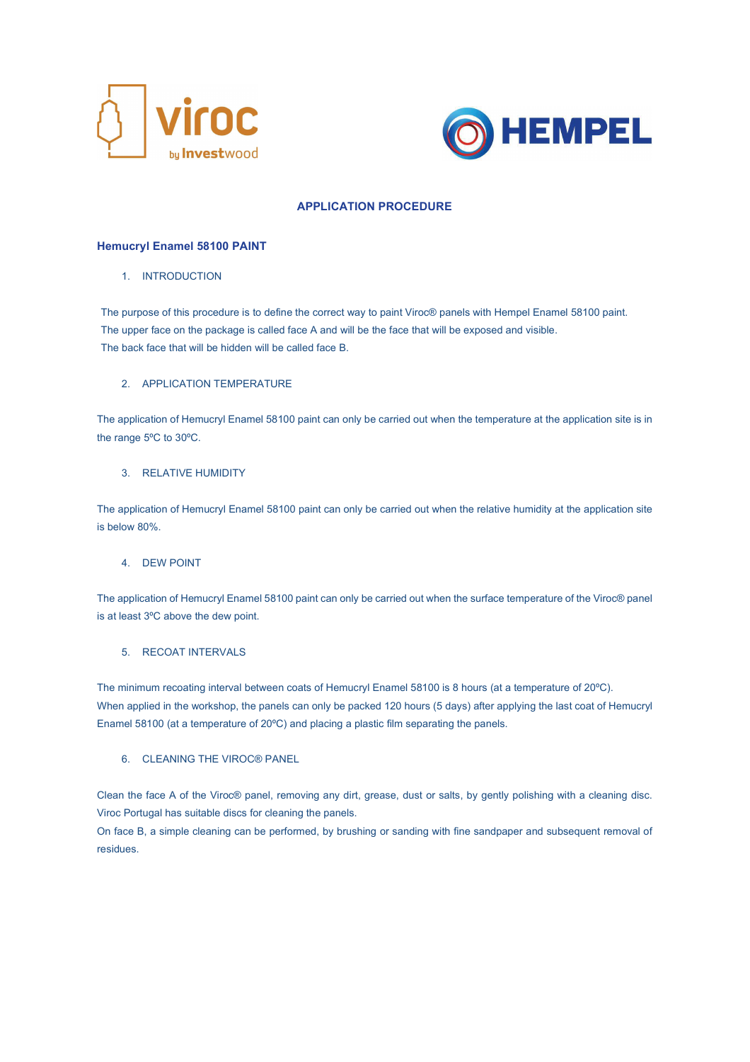



# APPLICATION PROCEDURE

## Hemucryl Enamel 58100 PAINT

### 1. INTRODUCTION

The purpose of this procedure is to define the correct way to paint Viroc® panels with Hempel Enamel 58100 paint. The upper face on the package is called face A and will be the face that will be exposed and visible. The back face that will be hidden will be called face B.

### 2. APPLICATION TEMPERATURE

The application of Hemucryl Enamel 58100 paint can only be carried out when the temperature at the application site is in the range 5ºC to 30ºC.

## 3. RELATIVE HUMIDITY

The application of Hemucryl Enamel 58100 paint can only be carried out when the relative humidity at the application site is below 80%.

### 4. DEW POINT

The application of Hemucryl Enamel 58100 paint can only be carried out when the surface temperature of the Viroc® panel is at least 3ºC above the dew point.

# 5. RECOAT INTERVALS

The minimum recoating interval between coats of Hemucryl Enamel 58100 is 8 hours (at a temperature of 20ºC). When applied in the workshop, the panels can only be packed 120 hours (5 days) after applying the last coat of Hemucryl Enamel 58100 (at a temperature of 20ºC) and placing a plastic film separating the panels.

## 6. CLEANING THE VIROC® PANEL

Clean the face A of the Viroc® panel, removing any dirt, grease, dust or salts, by gently polishing with a cleaning disc. Viroc Portugal has suitable discs for cleaning the panels.

On face B, a simple cleaning can be performed, by brushing or sanding with fine sandpaper and subsequent removal of residues.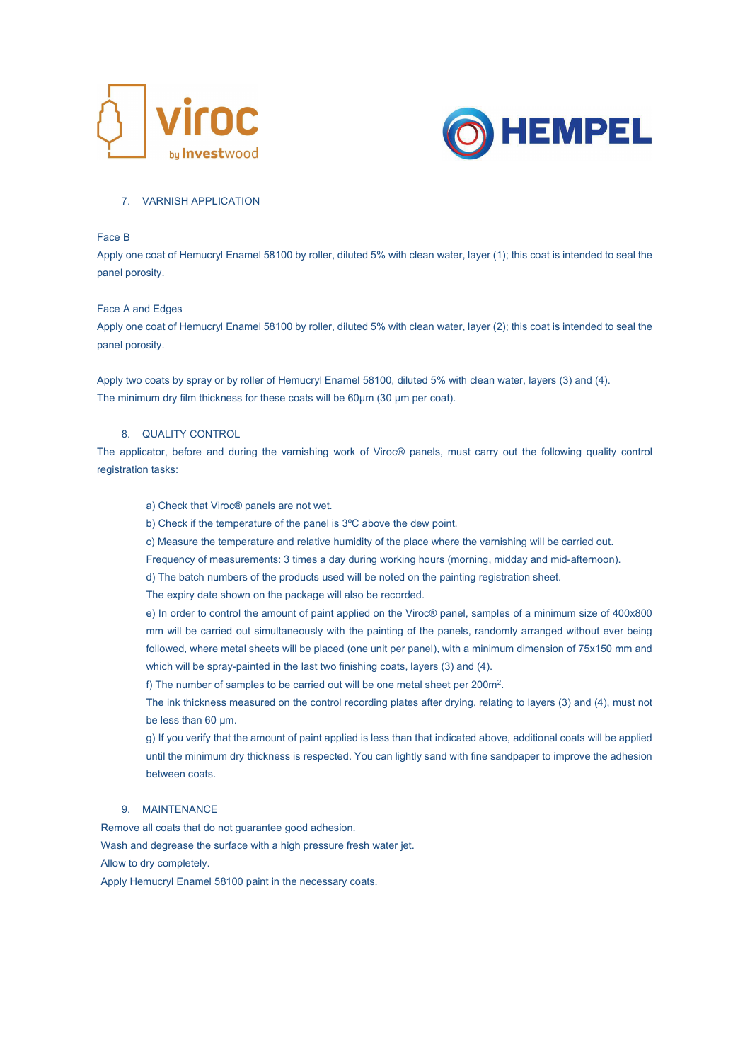



### 7. VARNISH APPLICATION

### Face B

Apply one coat of Hemucryl Enamel 58100 by roller, diluted 5% with clean water, layer (1); this coat is intended to seal the panel porosity.

### Face A and Edges

Apply one coat of Hemucryl Enamel 58100 by roller, diluted 5% with clean water, layer (2); this coat is intended to seal the panel porosity.

Apply two coats by spray or by roller of Hemucryl Enamel 58100, diluted 5% with clean water, layers (3) and (4). The minimum dry film thickness for these coats will be 60µm (30 µm per coat).

# 8. QUALITY CONTROL

The applicator, before and during the varnishing work of Viroc® panels, must carry out the following quality control registration tasks:

### a) Check that Viroc® panels are not wet.

b) Check if the temperature of the panel is 3ºC above the dew point.

c) Measure the temperature and relative humidity of the place where the varnishing will be carried out.

Frequency of measurements: 3 times a day during working hours (morning, midday and mid-afternoon).

d) The batch numbers of the products used will be noted on the painting registration sheet.

The expiry date shown on the package will also be recorded.

e) In order to control the amount of paint applied on the Viroc® panel, samples of a minimum size of 400x800 mm will be carried out simultaneously with the painting of the panels, randomly arranged without ever being followed, where metal sheets will be placed (one unit per panel), with a minimum dimension of 75x150 mm and which will be spray-painted in the last two finishing coats, layers (3) and (4).

f) The number of samples to be carried out will be one metal sheet per 200m<sup>2</sup>.

The ink thickness measured on the control recording plates after drying, relating to layers (3) and (4), must not be less than 60 µm.

g) If you verify that the amount of paint applied is less than that indicated above, additional coats will be applied until the minimum dry thickness is respected. You can lightly sand with fine sandpaper to improve the adhesion between coats.

# 9. MAINTENANCE

Remove all coats that do not guarantee good adhesion. Wash and degrease the surface with a high pressure fresh water jet. Allow to dry completely.

Apply Hemucryl Enamel 58100 paint in the necessary coats.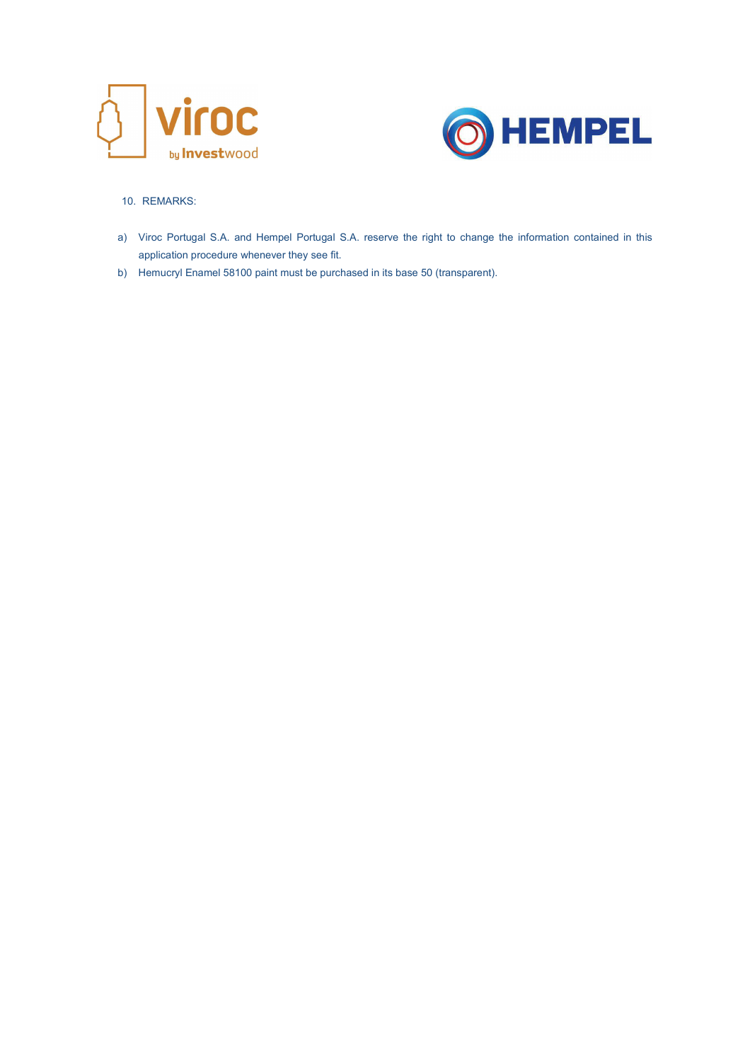



# 10. REMARKS:

- a) Viroc Portugal S.A. and Hempel Portugal S.A. reserve the right to change the information contained in this application procedure whenever they see fit.
- b) Hemucryl Enamel 58100 paint must be purchased in its base 50 (transparent).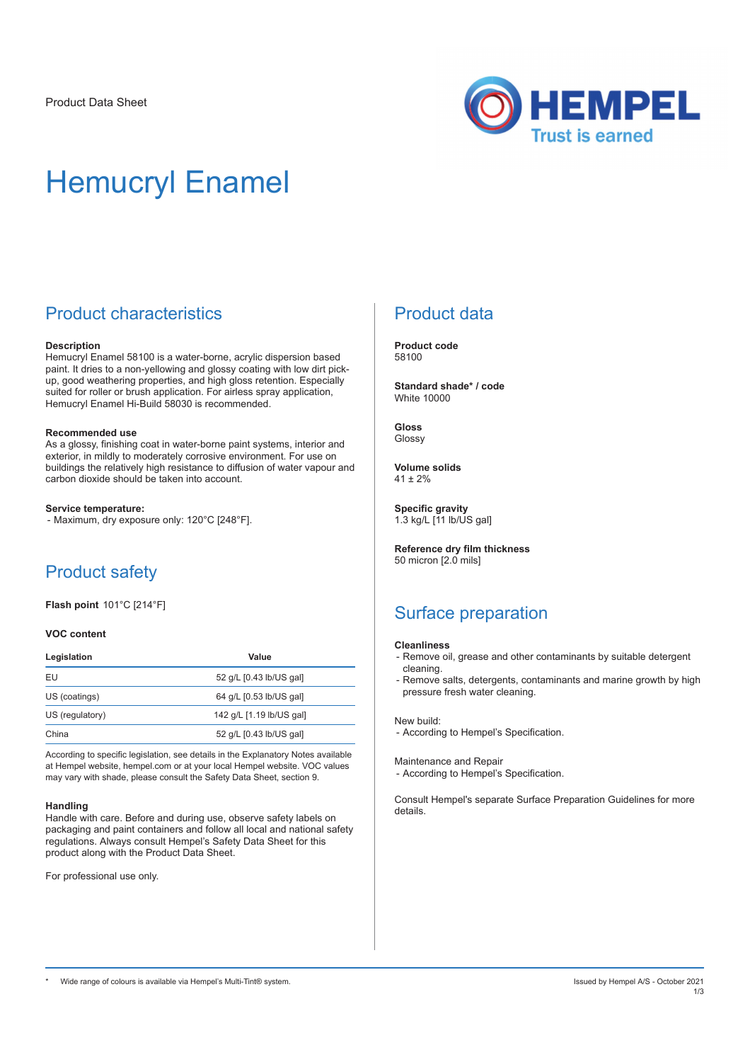

# Hemucryl Enamel

# Product characteristics

### **Description**

Hemucryl Enamel 58100 is a water-borne, acrylic dispersion based paint. It dries to a non-yellowing and glossy coating with low dirt pickup, good weathering properties, and high gloss retention. Especially suited for roller or brush application. For airless spray application, Hemucryl Enamel Hi-Build 58030 is recommended.

### **Recommended use**

As a glossy, finishing coat in water-borne paint systems, interior and exterior, in mildly to moderately corrosive environment. For use on buildings the relatively high resistance to diffusion of water vapour and carbon dioxide should be taken into account.

### **Service temperature:**

- Maximum, dry exposure only: 120°C [248°F].

# Product safety

**Flash point** 101°C [214°F]

### **VOC content**

| Legislation     | Value                    |
|-----------------|--------------------------|
| EU              | 52 g/L [0.43 lb/US gal]  |
| US (coatings)   | 64 g/L [0.53 lb/US gal]  |
| US (regulatory) | 142 g/L [1.19 lb/US gal] |
| China           | 52 g/L [0.43 lb/US gal]  |

According to specific legislation, see details in the Explanatory Notes available at Hempel website, hempel.com or at your local Hempel website. VOC values may vary with shade, please consult the Safety Data Sheet, section 9.

#### **Handling**

Handle with care. Before and during use, observe safety labels on packaging and paint containers and follow all local and national safety regulations. Always consult Hempel's Safety Data Sheet for this product along with the Product Data Sheet.

For professional use only.

# Product data

**Product code** 58100

**Standard shade\* / code** White 10000

**Gloss** Glossy

**Volume solids**  $41 + 2%$ 

**Specific gravity** 1.3 kg/L [11 lb/US gal]

**Reference dry film thickness** 50 micron [2.0 mils]

# Surface preparation

### **Cleanliness**

- Remove oil, grease and other contaminants by suitable detergent cleaning.
- Remove salts, detergents, contaminants and marine growth by high pressure fresh water cleaning.

#### New build:

- According to Hempel's Specification.

#### Maintenance and Repair

- According to Hempel's Specification.

Consult Hempel's separate Surface Preparation Guidelines for more details.

Wide range of colours is available via Hempel's Multi-Tint® system. In the system of the system of the system of the system of the system of the system of the system of the system of the system.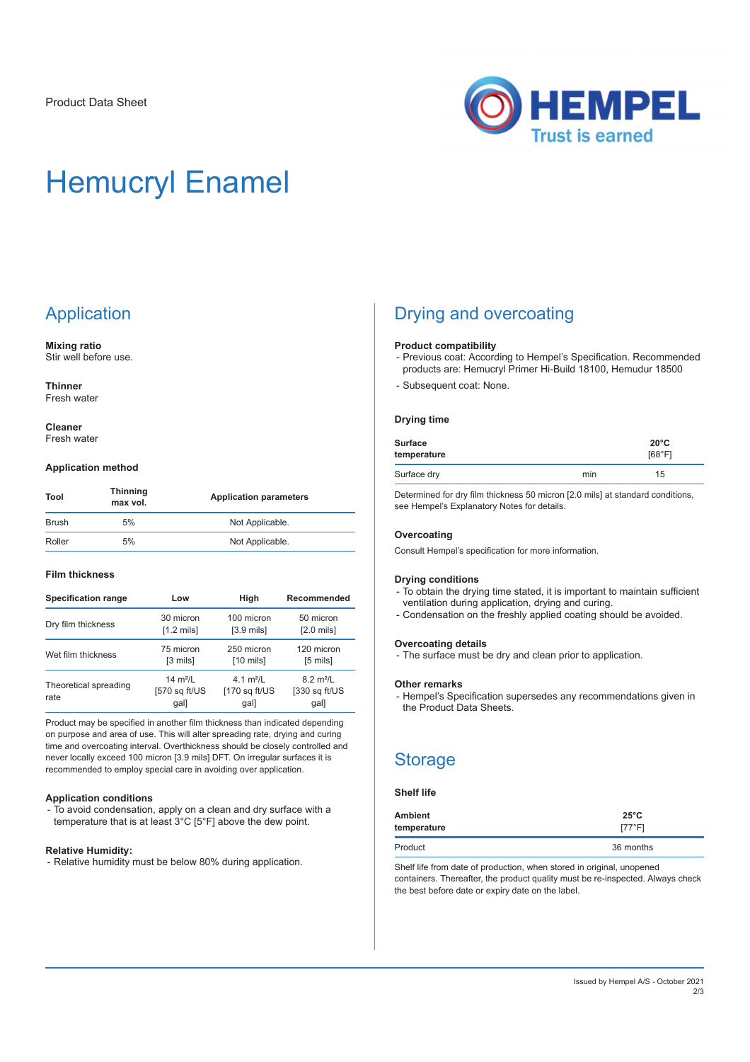

# Hemucryl Enamel

# **Application**

**Mixing ratio** Stir well before use.

**Thinner** Fresh water

**Cleaner** Fresh water

### **Application method**

| Tool   | <b>Thinning</b><br>max vol. | <b>Application parameters</b> |  |
|--------|-----------------------------|-------------------------------|--|
| Brush  | 5%                          | Not Applicable.               |  |
| Roller | 5%                          | Not Applicable.               |  |

### **Film thickness**

| <b>Specification range</b>    | Low                                 | High                                     | Recommended                                         |  |
|-------------------------------|-------------------------------------|------------------------------------------|-----------------------------------------------------|--|
| Dry film thickness            | 30 micron                           | 100 micron                               | 50 micron                                           |  |
|                               | $[1.2 \text{ mils}]$                | $[3.9 \text{ mils}]$                     | $[2.0 \text{ mils}]$                                |  |
| Wet film thickness            | 75 micron                           | 250 micron                               | 120 micron                                          |  |
|                               | [3 mils]                            | $[10 \text{ miles}]$                     | $[5 \text{ miles}]$                                 |  |
| Theoretical spreading<br>rate | 14 $m^2/l$<br>[570 sq ft/US<br>gal] | 4 1 $m^2/l$<br>$[170$ sq $ft/US$<br>gal] | $8.2 \text{ m}^2/\text{L}$<br>[330 sq ft/US<br>gal] |  |

Product may be specified in another film thickness than indicated depending on purpose and area of use. This will alter spreading rate, drying and curing time and overcoating interval. Overthickness should be closely controlled and never locally exceed 100 micron [3.9 mils] DFT. On irregular surfaces it is recommended to employ special care in avoiding over application.

### **Application conditions**

- To avoid condensation, apply on a clean and dry surface with a temperature that is at least 3°C [5°F] above the dew point.

### **Relative Humidity:**

- Relative humidity must be below 80% during application.

# Drying and overcoating

#### **Product compatibility**

- Previous coat: According to Hempel's Specification. Recommended products are: Hemucryl Primer Hi-Build 18100, Hemudur 18500
- Subsequent coat: None.

### **Drying time**

| Surface<br>temperature |     | $20^{\circ}$ C<br>[68°F] |  |
|------------------------|-----|--------------------------|--|
| Surface dry            | min | 15                       |  |

Determined for dry film thickness 50 micron [2.0 mils] at standard conditions, see Hempel's Explanatory Notes for details.

### **Overcoating**

Consult Hempel's specification for more information.

#### **Drying conditions**

- To obtain the drying time stated, it is important to maintain sufficient ventilation during application, drying and curing.
- Condensation on the freshly applied coating should be avoided.

### **Overcoating details**

- The surface must be dry and clean prior to application.

### **Other remarks**

- Hempel's Specification supersedes any recommendations given in the Product Data Sheets.

# **Storage**

**Shelf life**

| <b>Ambient</b> | $25^{\circ}$ C |
|----------------|----------------|
| temperature    | [77°F]         |
| Product        | 36 months      |

Shelf life from date of production, when stored in original, unopened containers. Thereafter, the product quality must be re-inspected. Always check the best before date or expiry date on the label.